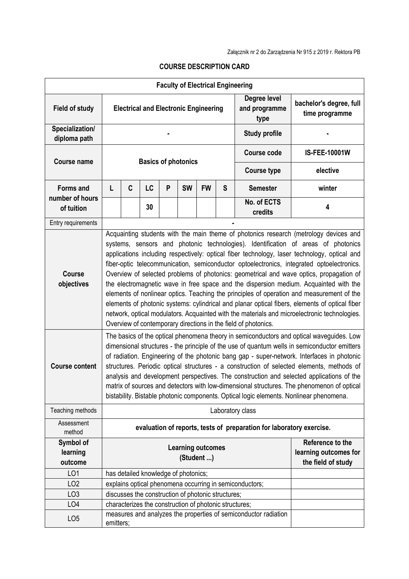| <b>Field of study</b>           | <b>Faculty of Electrical Engineering</b><br><b>Electrical and Electronic Engineering</b>                                                                                                                                                                                                                                                                                                                                                                                                                                                                                                                                                                                                                                                                                                                                                                                                                                                                                                                                 |                                                        |    |   |           |           | Degree level<br>and programme<br>type | bachelor's degree, full<br>time programme                       |                       |
|---------------------------------|--------------------------------------------------------------------------------------------------------------------------------------------------------------------------------------------------------------------------------------------------------------------------------------------------------------------------------------------------------------------------------------------------------------------------------------------------------------------------------------------------------------------------------------------------------------------------------------------------------------------------------------------------------------------------------------------------------------------------------------------------------------------------------------------------------------------------------------------------------------------------------------------------------------------------------------------------------------------------------------------------------------------------|--------------------------------------------------------|----|---|-----------|-----------|---------------------------------------|-----------------------------------------------------------------|-----------------------|
| Specialization/<br>diploma path |                                                                                                                                                                                                                                                                                                                                                                                                                                                                                                                                                                                                                                                                                                                                                                                                                                                                                                                                                                                                                          |                                                        |    |   |           |           | <b>Study profile</b>                  |                                                                 |                       |
| <b>Course name</b>              | <b>Basics of photonics</b>                                                                                                                                                                                                                                                                                                                                                                                                                                                                                                                                                                                                                                                                                                                                                                                                                                                                                                                                                                                               |                                                        |    |   |           |           |                                       | <b>Course code</b>                                              | <b>IS-FEE-10001W</b>  |
|                                 |                                                                                                                                                                                                                                                                                                                                                                                                                                                                                                                                                                                                                                                                                                                                                                                                                                                                                                                                                                                                                          |                                                        |    |   |           |           |                                       | <b>Course type</b>                                              | elective              |
| <b>Forms and</b>                | L                                                                                                                                                                                                                                                                                                                                                                                                                                                                                                                                                                                                                                                                                                                                                                                                                                                                                                                                                                                                                        | C                                                      | LC | P | <b>SW</b> | <b>FW</b> | S                                     | <b>Semester</b>                                                 | winter                |
| number of hours<br>of tuition   |                                                                                                                                                                                                                                                                                                                                                                                                                                                                                                                                                                                                                                                                                                                                                                                                                                                                                                                                                                                                                          |                                                        | 30 |   |           |           |                                       | No. of ECTS<br>credits                                          | 4                     |
| Entry requirements              |                                                                                                                                                                                                                                                                                                                                                                                                                                                                                                                                                                                                                                                                                                                                                                                                                                                                                                                                                                                                                          |                                                        |    |   |           |           |                                       |                                                                 |                       |
| <b>Course</b><br>objectives     | Acquainting students with the main theme of photonics research (metrology devices and<br>systems, sensors and photonic technologies). Identification of areas of photonics<br>applications including respectively: optical fiber technology, laser technology, optical and<br>fiber-optic telecommunication, semiconductor optoelectronics, integrated optoelectronics.<br>Overview of selected problems of photonics: geometrical and wave optics, propagation of<br>the electromagnetic wave in free space and the dispersion medium. Acquainted with the<br>elements of nonlinear optics. Teaching the principles of operation and measurement of the<br>elements of photonic systems: cylindrical and planar optical fibers, elements of optical fiber<br>network, optical modulators. Acquainted with the materials and microelectronic technologies.<br>Overview of contemporary directions in the field of photonics.<br>The basics of the optical phenomena theory in semiconductors and optical waveguides. Low |                                                        |    |   |           |           |                                       |                                                                 |                       |
| <b>Course content</b>           | dimensional structures - the principle of the use of quantum wells in semiconductor emitters<br>of radiation. Engineering of the photonic bang gap - super-network. Interfaces in photonic<br>structures. Periodic optical structures - a construction of selected elements, methods of<br>analysis and development perspectives. The construction and selected applications of the<br>matrix of sources and detectors with low-dimensional structures. The phenomenon of optical<br>bistability. Bistable photonic components. Optical logic elements. Nonlinear phenomena.                                                                                                                                                                                                                                                                                                                                                                                                                                             |                                                        |    |   |           |           |                                       |                                                                 |                       |
| Teaching methods                |                                                                                                                                                                                                                                                                                                                                                                                                                                                                                                                                                                                                                                                                                                                                                                                                                                                                                                                                                                                                                          |                                                        |    |   |           |           |                                       | Laboratory class                                                |                       |
| Assessment<br>method            | evaluation of reports, tests of preparation for laboratory exercise.                                                                                                                                                                                                                                                                                                                                                                                                                                                                                                                                                                                                                                                                                                                                                                                                                                                                                                                                                     |                                                        |    |   |           |           |                                       |                                                                 |                       |
| Symbol of                       |                                                                                                                                                                                                                                                                                                                                                                                                                                                                                                                                                                                                                                                                                                                                                                                                                                                                                                                                                                                                                          |                                                        |    |   |           |           |                                       |                                                                 | Reference to the      |
| learning                        | <b>Learning outcomes</b><br>(Student )                                                                                                                                                                                                                                                                                                                                                                                                                                                                                                                                                                                                                                                                                                                                                                                                                                                                                                                                                                                   |                                                        |    |   |           |           |                                       |                                                                 | learning outcomes for |
| outcome                         |                                                                                                                                                                                                                                                                                                                                                                                                                                                                                                                                                                                                                                                                                                                                                                                                                                                                                                                                                                                                                          |                                                        |    |   |           |           |                                       |                                                                 | the field of study    |
| LO <sub>1</sub>                 |                                                                                                                                                                                                                                                                                                                                                                                                                                                                                                                                                                                                                                                                                                                                                                                                                                                                                                                                                                                                                          | has detailed knowledge of photonics;                   |    |   |           |           |                                       |                                                                 |                       |
| LO <sub>2</sub>                 |                                                                                                                                                                                                                                                                                                                                                                                                                                                                                                                                                                                                                                                                                                                                                                                                                                                                                                                                                                                                                          |                                                        |    |   |           |           |                                       | explains optical phenomena occurring in semiconductors;         |                       |
| LO <sub>3</sub>                 |                                                                                                                                                                                                                                                                                                                                                                                                                                                                                                                                                                                                                                                                                                                                                                                                                                                                                                                                                                                                                          | discusses the construction of photonic structures;     |    |   |           |           |                                       |                                                                 |                       |
| LO <sub>4</sub>                 |                                                                                                                                                                                                                                                                                                                                                                                                                                                                                                                                                                                                                                                                                                                                                                                                                                                                                                                                                                                                                          | characterizes the construction of photonic structures; |    |   |           |           |                                       |                                                                 |                       |
| LO <sub>5</sub>                 | emitters;                                                                                                                                                                                                                                                                                                                                                                                                                                                                                                                                                                                                                                                                                                                                                                                                                                                                                                                                                                                                                |                                                        |    |   |           |           |                                       | measures and analyzes the properties of semiconductor radiation |                       |

## **COURSE DESCRIPTION CARD**